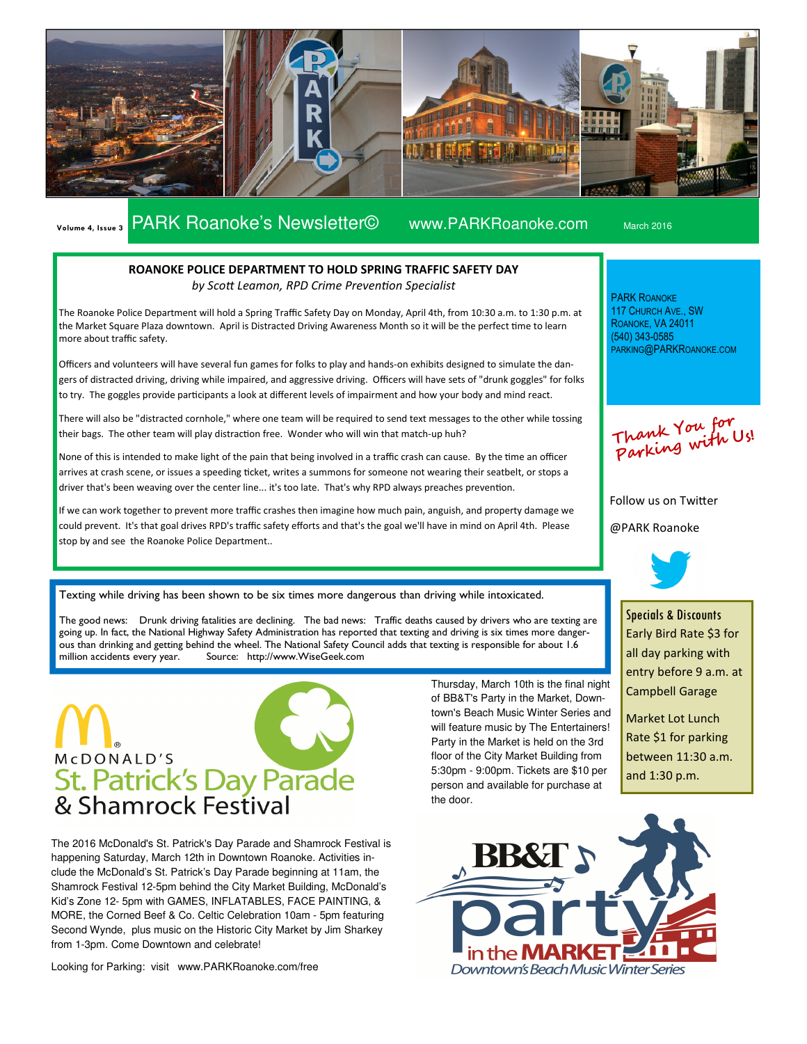

# Volume 4, Issue 3 PARK Roanoke's Newsletter© www.PARKRoanoke.com March 2016

PARK ROANOKE 117 CHURCH AVE., SW ROANOKE, VA 24011 (540) 343-0585

### ROANOKE POLICE DEPARTMENT TO HOLD SPRING TRAFFIC SAFETY DAY by Scott Leamon, RPD Crime Prevention Specialist

The Roanoke Police Department will hold a Spring Traffic Safety Day on Monday, April 4th, from 10:30 a.m. to 1:30 p.m. at the Market Square Plaza downtown. April is Distracted Driving Awareness Month so it will be the perfect time to learn more about traffic safety.

Officers and volunteers will have several fun games for folks to play and hands-on exhibits designed to simulate the dangers of distracted driving, driving while impaired, and aggressive driving. Officers will have sets of "drunk goggles" for folks to try. The goggles provide participants a look at different levels of impairment and how your body and mind react.

There will also be "distracted cornhole," where one team will be required to send text messages to the other while tossing their bags. The other team will play distraction free. Wonder who will win that match-up huh?

None of this is intended to make light of the pain that being involved in a traffic crash can cause. By the time an officer arrives at crash scene, or issues a speeding ticket, writes a summons for someone not wearing their seatbelt, or stops a driver that's been weaving over the center line... it's too late. That's why RPD always preaches prevention.

If we can work together to prevent more traffic crashes then imagine how much pain, anguish, and property damage we could prevent. It's that goal drives RPD's traffic safety efforts and that's the goal we'll have in mind on April 4th. Please stop by and see the Roanoke Police Department..

Texting while driving has been shown to be six times more dangerous than driving while intoxicated.

The good news: Drunk driving fatalities are declining. The bad news: Traffic deaths caused by drivers who are texting are going up. In fact, the National Highway Safety Administration has reported that texting and driving is six times more dangerous than drinking and getting behind the wheel. The National Safety Council adds that texting is responsible for about 1.6 million accidents every year. Source: http://www.WiseGeek.com

# McDONALD'S St. Patrick's Day Parade

The 2016 McDonald's St. Patrick's Day Parade and Shamrock Festival is happening Saturday, March 12th in Downtown Roanoke. Activities include the McDonald's St. Patrick's Day Parade beginning at 11am, the Shamrock Festival 12-5pm behind the City Market Building, McDonald's Kid's Zone 12- 5pm with GAMES, INFLATABLES, FACE PAINTING, & MORE, the Corned Beef & Co. Celtic Celebration 10am - 5pm featuring Second Wynde, plus music on the Historic City Market by Jim Sharkey from 1-3pm. Come Downtown and celebrate!

Looking for Parking: visit www.PARKRoanoke.com/free

Thursday, March 10th is the final night of BB&T's Party in the Market, Downtown's Beach Music Winter Series and will feature music by The Entertainers! Party in the Market is held on the 3rd floor of the City Market Building from 5:30pm - 9:00pm. Tickets are \$10 per person and available for purchase at the door.

Thank You for Parking with Us!

PARKING@PARKROANOKE.COM

Follow us on Twitter

@PARK Roanoke



Specials & Discounts Early Bird Rate \$3 for all day parking with entry before 9 a.m. at Campbell Garage

Market Lot Lunch Rate \$1 for parking between 11:30 a.m. and 1:30 p.m.